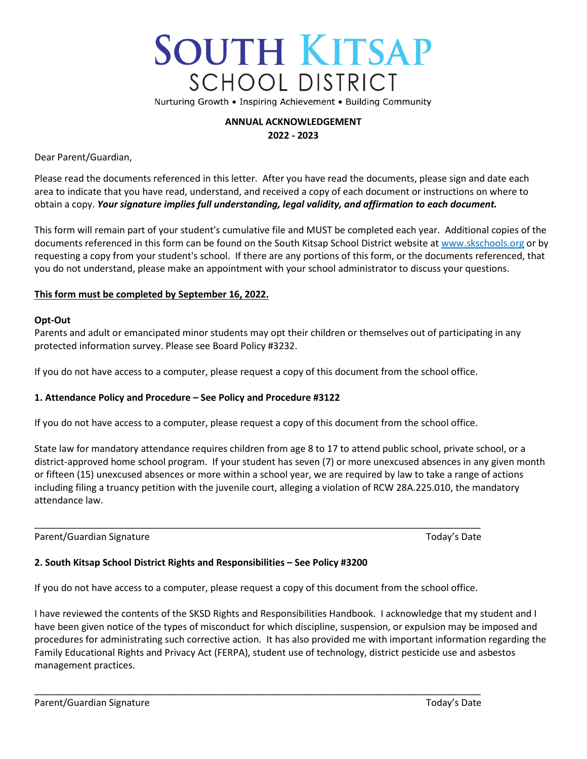# **SOUTH KITSAP SCHOOL DISTRICT**

Nurturing Growth . Inspiring Achievement . Building Community

## **ANNUAL ACKNOWLEDGEMENT 2022 - 2023**

Dear Parent/Guardian,

Please read the documents referenced in this letter. After you have read the documents, please sign and date each area to indicate that you have read, understand, and received a copy of each document or instructions on where to obtain a copy. *Your signature implies full understanding, legal validity, and affirmation to each document.*

This form will remain part of your student's cumulative file and MUST be completed each year. Additional copies of the documents referenced in this form can be found on the South Kitsap School District website at www.skschools.org or by requesting a copy from your student's school. If there are any portions of this form, or the documents referenced, that you do not understand, please make an appointment with your school administrator to discuss your questions.

### **This form must be completed by September 16, 2022.**

### **Opt-Out**

Parents and adult or emancipated minor students may opt their children or themselves out of participating in any protected information survey. Please see Board Policy #3232.

If you do not have access to a computer, please request a copy of this document from the school office.

## **1. Attendance Policy and Procedure – See Policy and Procedure #3122**

If you do not have access to a computer, please request a copy of this document from the school office.

State law for mandatory attendance requires children from age 8 to 17 to attend public school, private school, or a district-approved home school program. If your student has seven (7) or more unexcused absences in any given month or fifteen (15) unexcused absences or more within a school year, we are required by law to take a range of actions including filing a truancy petition with the juvenile court, alleging a violation of RCW 28A.225.010, the mandatory attendance law.

Parent/Guardian Signature Today's Date Today's Date

## **2. South Kitsap School District Rights and Responsibilities – See Policy #3200**

If you do not have access to a computer, please request a copy of this document from the school office.

\_\_\_\_\_\_\_\_\_\_\_\_\_\_\_\_\_\_\_\_\_\_\_\_\_\_\_\_\_\_\_\_\_\_\_\_\_\_\_\_\_\_\_\_\_\_\_\_\_\_\_\_\_\_\_\_\_\_\_\_\_\_\_\_\_\_\_\_\_\_\_\_\_\_\_\_\_\_\_\_\_\_\_\_\_

\_\_\_\_\_\_\_\_\_\_\_\_\_\_\_\_\_\_\_\_\_\_\_\_\_\_\_\_\_\_\_\_\_\_\_\_\_\_\_\_\_\_\_\_\_\_\_\_\_\_\_\_\_\_\_\_\_\_\_\_\_\_\_\_\_\_\_\_\_\_\_\_\_\_\_\_\_\_\_\_\_\_\_\_\_

I have reviewed the contents of the SKSD Rights and Responsibilities Handbook. I acknowledge that my student and I have been given notice of the types of misconduct for which discipline, suspension, or expulsion may be imposed and procedures for administrating such corrective action. It has also provided me with important information regarding the Family Educational Rights and Privacy Act (FERPA), student use of technology, district pesticide use and asbestos management practices.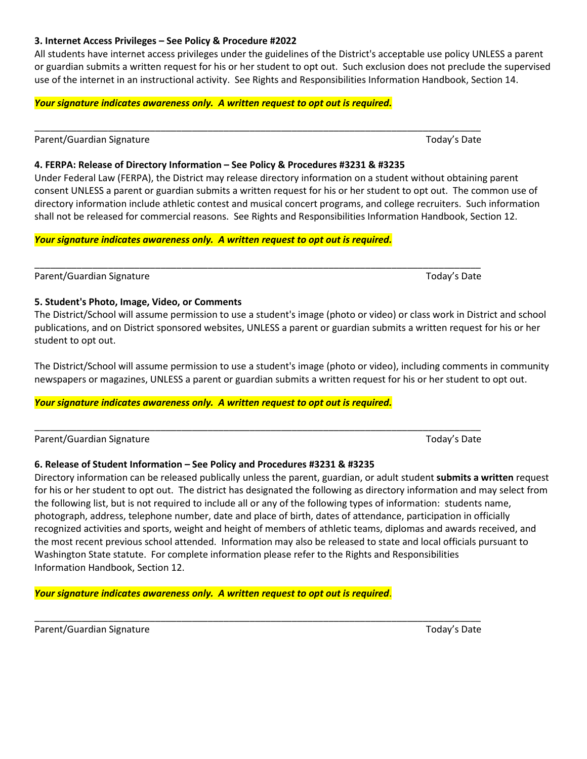consent UNLESS a parent or guardian submits a written request for his or her student to opt out. The common use of directory information include athletic contest and musical concert programs, and college recruiters. Such information

*Your signature indicates awareness only. A written request to opt out is required.*

**4. FERPA: Release of Directory Information – See Policy & Procedures #3231 & #3235**

\_\_\_\_\_\_\_\_\_\_\_\_\_\_\_\_\_\_\_\_\_\_\_\_\_\_\_\_\_\_\_\_\_\_\_\_\_\_\_\_\_\_\_\_\_\_\_\_\_\_\_\_\_\_\_\_\_\_\_\_\_\_\_\_\_\_\_\_\_\_\_\_\_\_\_\_\_\_\_\_\_\_\_\_\_ Parent/Guardian Signature Today's Date Today's Date

## **5. Student's Photo, Image, Video, or Comments**

The District/School will assume permission to use a student's image (photo or video) or class work in District and school publications, and on District sponsored websites, UNLESS a parent or guardian submits a written request for his or her student to opt out.

The District/School will assume permission to use a student's image (photo or video), including comments in community newspapers or magazines, UNLESS a parent or guardian submits a written request for his or her student to opt out.

## *Your signature indicates awareness only. A written request to opt out is required.*

|  | Parent/Guardian Signature |  |
|--|---------------------------|--|
|  |                           |  |

# **6. Release of Student Information – See Policy and Procedures #3231 & #3235**

Directory information can be released publically unless the parent, guardian, or adult student **submits a written** request for his or her student to opt out. The district has designated the following as directory information and may select from the following list, but is not required to include all or any of the following types of information: students name, photograph, address, telephone number, date and place of birth, dates of attendance, participation in officially recognized activities and sports, weight and height of members of athletic teams, diplomas and awards received, and the most recent previous school attended. Information may also be released to state and local officials pursuant to Washington State statute. For complete information please refer to the Rights and Responsibilities Information Handbook, Section 12.

*Your signature indicates awareness only. A written request to opt out is required*.

Parent/Guardian Signature Today's Date Today's Date

## **3. Internet Access Privileges – See Policy & Procedure #2022**

All students have internet access privileges under the guidelines of the District's acceptable use policy UNLESS a parent or guardian submits a written request for his or her student to opt out. Such exclusion does not preclude the supervised use of the internet in an instructional activity. See Rights and Responsibilities Information Handbook, Section 14.

Under Federal Law (FERPA), the District may release directory information on a student without obtaining parent

shall not be released for commercial reasons. See Rights and Responsibilities Information Handbook, Section 12.

# *Your signature indicates awareness only. A written request to opt out is required.*

\_\_\_\_\_\_\_\_\_\_\_\_\_\_\_\_\_\_\_\_\_\_\_\_\_\_\_\_\_\_\_\_\_\_\_\_\_\_\_\_\_\_\_\_\_\_\_\_\_\_\_\_\_\_\_\_\_\_\_\_\_\_\_\_\_\_\_\_\_\_\_\_\_\_\_\_\_\_\_\_\_\_\_\_\_ Parent/Guardian Signature Today's Date Today's Date

\_\_\_\_\_\_\_\_\_\_\_\_\_\_\_\_\_\_\_\_\_\_\_\_\_\_\_\_\_\_\_\_\_\_\_\_\_\_\_\_\_\_\_\_\_\_\_\_\_\_\_\_\_\_\_\_\_\_\_\_\_\_\_\_\_\_\_\_\_\_\_\_\_\_\_\_\_\_\_\_\_\_\_\_\_ Today's Date

\_\_\_\_\_\_\_\_\_\_\_\_\_\_\_\_\_\_\_\_\_\_\_\_\_\_\_\_\_\_\_\_\_\_\_\_\_\_\_\_\_\_\_\_\_\_\_\_\_\_\_\_\_\_\_\_\_\_\_\_\_\_\_\_\_\_\_\_\_\_\_\_\_\_\_\_\_\_\_\_\_\_\_\_\_